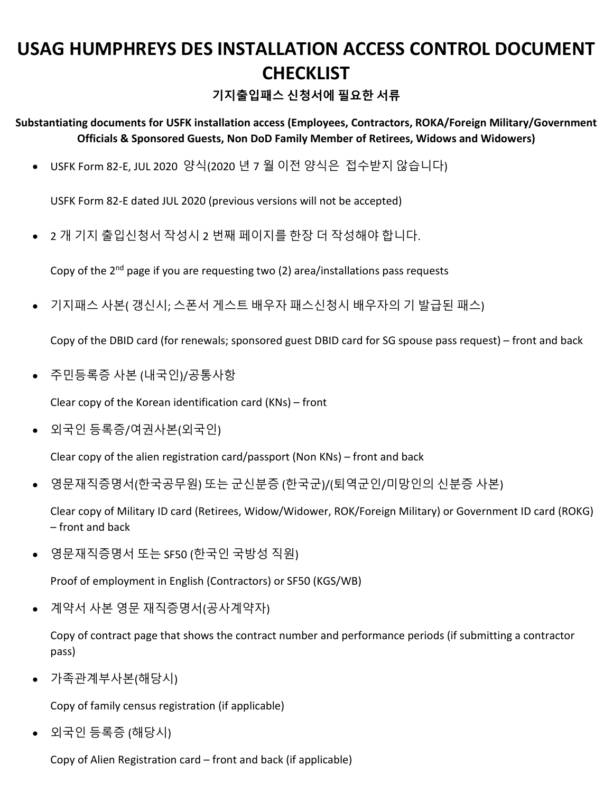## **USAG HUMPHREYS DES INSTALLATION ACCESS CONTROL DOCUMENT CHECKLIST**

**기지출입패스 신청서에 필요한 서류**

**Substantiating documents for USFK installation access (Employees, Contractors, ROKA/Foreign Military/Government Officials & Sponsored Guests, Non DoD Family Member of Retirees, Widows and Widowers)**

• USFK Form 82-E, JUL 2020 양식(2020 년 7 월 이전 양식은 접수받지 않습니다)

USFK Form 82-E dated JUL 2020 (previous versions will not be accepted)

• 2 개 기지 출입신청서 작성시 2 번째 페이지를 한장 더 작성해야 합니다.

Copy of the  $2^{nd}$  page if you are requesting two (2) area/installations pass requests

• 기지패스 사본( 갱신시; 스폰서 게스트 배우자 패스신청시 배우자의 기 발급된 패스)

Copy of the DBID card (for renewals; sponsored guest DBID card for SG spouse pass request) – front and back

• 주민등록증 사본 (내국인)/공통사항

Clear copy of the Korean identification card (KNs) – front

• 외국인 등록증/여권사본(외국인)

Clear copy of the alien registration card/passport (Non KNs) – front and back

• 영문재직증명서(한국공무원) 또는 군신분증 (한국군)/(퇴역군인/미망인의 신분증 사본)

Clear copy of Military ID card (Retirees, Widow/Widower, ROK/Foreign Military) or Government ID card (ROKG) – front and back

• 영문재직증명서 또는 SF50 (한국인 국방성 직원)

Proof of employment in English (Contractors) or SF50 (KGS/WB)

• 계약서 사본 영문 재직증명서(공사계약자)

Copy of contract page that shows the contract number and performance periods (if submitting a contractor pass)

• 가족관계부사본(해당시)

Copy of family census registration (if applicable)

• 외국인 등록증 (해당시)

Copy of Alien Registration card – front and back (if applicable)